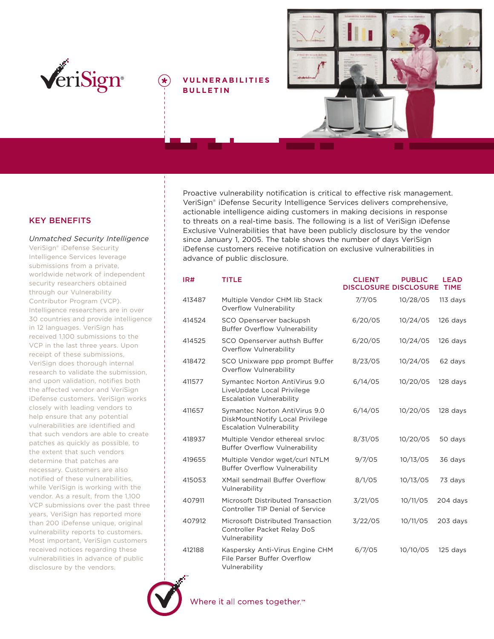

## **V ULNERABILITIES BULLETIN**



# **KEY BENEFITS**

*Unmatched Security Intelligence* VeriSign® iDefense Security Intelligence Services leverage submissions from a private, worldwide network of independent security researchers obtained through our Vulnerability Contributor Program (VCP). Intelligence researchers are in over 30 countries and provide intelligence in 12 languages. VeriSign has received 1,100 submissions to the VCP in the last three years. Upon receipt of these submissions, VeriSign does thorough internal research to validate the submission, and upon validation, notifies both the affected vendor and VeriSign iDefense customers. VeriSign works closely with leading vendors to help ensure that any potential vulnerabilities are identified and that such vendors are able to create patches as quickly as possible, to the extent that such vendors determine that patches are necessary. Customers are also notified of these vulnerabilities, while VeriSign is working with the vendor. As a result, from the 1,100 VCP submissions over the past three years, VeriSign has reported more than 200 iDefense unique, original vulnerability reports to customers. Most important, VeriSign customers received notices regarding these vulnerabilities in advance of public disclosure by the vendors.

Proactive vulnerability notification is critical to effective risk management. VeriSign® iDefense Security Intelligence Services delivers comprehensive, actionable intelligence aiding customers in making decisions in response to threats on a real-time basis. The following is a list of VeriSign iDefense Exclusive Vulnerabilities that have been publicly disclosure by the vendor since January 1, 2005. The table shows the number of days VeriSign iDefense customers receive notification on exclusive vulnerabilities in advance of public disclosure.

| IR#    | TITLE                                                                                               | <b>CLIENT</b><br><b>DISCLOSURE DISCLOSURE</b> | <b>PUBLIC</b> | <b>LEAD</b><br><b>TIME</b> |
|--------|-----------------------------------------------------------------------------------------------------|-----------------------------------------------|---------------|----------------------------|
| 413487 | Multiple Vendor CHM lib Stack<br>Overflow Vulnerability                                             | 7/7/05                                        | 10/28/05      | $113$ days                 |
| 414524 | SCO Openserver backupsh<br><b>Buffer Overflow Vulnerability</b>                                     | 6/20/05                                       | 10/24/05      | 126 days                   |
| 414525 | SCO Openserver authsh Buffer<br>Overflow Vulnerability                                              | 6/20/05                                       | 10/24/05      | 126 days                   |
| 418472 | SCO Unixware ppp prompt Buffer<br>Overflow Vulnerability                                            | 8/23/05                                       | 10/24/05      | 62 days                    |
| 411577 | Symantec Norton AntiVirus 9.0<br>LiveUpdate Local Privilege<br><b>Escalation Vulnerability</b>      | 6/14/05                                       | 10/20/05      | 128 days                   |
| 411657 | Symantec Norton AntiVirus 9.0<br>DiskMountNotify Local Privilege<br><b>Escalation Vulnerability</b> | 6/14/05                                       | 10/20/05      | 128 days                   |
| 418937 | Multiple Vendor ethereal srvloc<br><b>Buffer Overflow Vulnerability</b>                             | 8/31/05                                       | 10/20/05      | 50 days                    |
| 419655 | Multiple Vendor wget/curl NTLM<br><b>Buffer Overflow Vulnerability</b>                              | 9/7/05                                        | 10/13/05      | 36 days                    |
| 415053 | <b>XMail sendmail Buffer Overflow</b><br>Vulnerability                                              | 8/1/05                                        | 10/13/05      | 73 days                    |
| 407911 | Microsoft Distributed Transaction<br>Controller TIP Denial of Service                               | 3/21/05                                       | 10/11/05      | 204 days                   |
| 407912 | Microsoft Distributed Transaction<br>Controller Packet Relay DoS<br>Vulnerability                   | 3/22/05                                       | 10/11/05      | 203 days                   |
| 412188 | Kaspersky Anti-Virus Engine CHM<br>File Parser Buffer Overflow<br>Vulnerability                     | 6/7/05                                        | 10/10/05      | 125 days                   |



Where it all comes together.<sup>™</sup>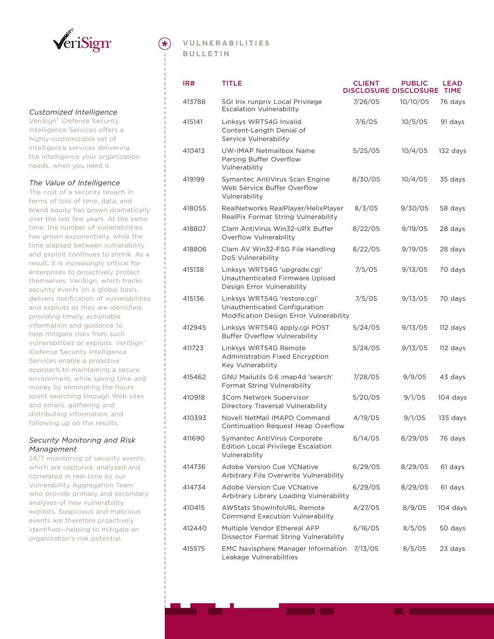

#### *Customized Intelligence*

VeriSign® iDefense Security Intelligence Services offers a highly-customizable set of intelligence services delivering the intelligence your organization needs, when you need it.

#### *The Value of Intelligence*

The cost of a security breach in terms of loss of time, data, and brand equity has grown dramatically over the last few years. At the same time, the number of vulnerabilities has grown exponentially, while the time elapsed between vulnerability and exploit continues to shrink. As a result, it is increasingly critical for enterprises to proactively protect themselves. VeriSign, which tracks security events on a global basis, delivers notification of vulnerabilities and exploits as they are identified, providing timely, actionable information and guidance to help mitigate risks from such vulnerabilities or exploits. VeriSign® iDefense Security Intelligence Services enable a proactive approach to maintaining a secure environment, while saving time and money by eliminating the hours spent searching through Web sites and emails, gathering and distributing information, and following up on the results.

#### *Security Monitoring and Risk Management*

24/7 monitoring of security events, which are captured, analyzed and correlated in real-time by our Vulnerability Aggregation Team who provide primary and secondary analyses of new vulnerability exploits. Suspicious and malicious events are therefore proactively identified—helping to mitigate an organization's risk potential.

## **VULNERABILITIES B ULLETIN**

| IR#    | TITLE                                                                                                    | <b>CLIENT</b><br><b>DISCLOSURE DISCLOSURE</b> | <b>PUBLIC</b> | <b>LEAD</b><br><b>TIME</b> |
|--------|----------------------------------------------------------------------------------------------------------|-----------------------------------------------|---------------|----------------------------|
| 413788 | SGI Irix runpriv Local Privilege<br><b>Escalation Vulnerability</b>                                      | 7/26/05                                       | 10/10/05      | 76 days                    |
| 415141 | Linksys WRT54G Invalid<br>Content-Length Denial of<br>Service Vulnerability                              | 7/6/05                                        | 10/5/05       | 91 days                    |
| 410413 | UW-IMAP Netmailbox Name<br>Parsing Buffer Overflow<br>Vulnerability                                      | 5/25/05                                       | 10/4/05       | 132 days                   |
| 419199 | Symantec AntiVirus Scan Engine<br>Web Service Buffer Overflow<br>Vulnerability                           | 8/30/05                                       | 10/4/05       | 35 days                    |
| 418055 | RealNetworks RealPlayer/HelixPlayer<br>RealPix Format String Vulnerability                               | 8/3/05                                        | 9/30/05       | 58 days                    |
| 418807 | Clam AntiVirus Win32-UPX Buffer<br>Overflow Vulnerability                                                | 8/22/05                                       | 9/19/05       | 28 days                    |
| 418806 | Clam AV Win32-FSG File Handling<br>DoS Vulnerability                                                     | 8/22/05                                       | 9/19/05       | 28 days                    |
| 415138 | Linksys WRT54G 'upgrade.cgi'<br>Unauthenticated Firmware Upload<br>Design Error Vulnerability            | 7/5/05                                        | 9/13/05       | 70 days                    |
| 415136 | Linksys WRT54G 'restore.cgi'<br>Unauthenticated Configuration<br>Modification Design Error Vulnerability | 7/5/05                                        | 9/13/05       | 70 days                    |
| 412945 | Linksys WRT54G apply.cgi POST<br><b>Buffer Overflow Vulnerability</b>                                    | 5/24/05                                       | 9/13/05       | 112 days                   |
| 411723 | Linksys WRT54G Remote<br><b>Administration Fixed Encryption</b><br>Key Vulnerability                     | 5/24/05                                       | 9/13/05       | 112 days                   |
| 415462 | GNU Mailutils 0.6 imap4d 'search'<br>Format String Vulnerability                                         | 7/28/05                                       | 9/9/05        | 43 days                    |
| 410918 | 3Com Network Supervisor<br>Directory Traversal Vulnerability                                             | 5/20/05                                       | 9/1/05        | 104 days                   |
| 410393 | Novell NetMail IMAPD Command<br>Continuation Request Heap Overflow                                       | 4/19/05                                       | 9/1/05        | 135 days                   |
| 411690 | Symantec AntiVirus Corporate<br><b>Edition Local Privilege Escalation</b><br>Vulnerability               | 6/14/05                                       | 8/29/05       | 76 days                    |
| 414736 | Adobe Version Cue VCNative<br>Arbitrary File Overwrite Vulnerability                                     | 6/29/05                                       | 8/29/05       | 61 days                    |
| 414734 | Adobe Version Cue VCNative<br>Arbitrary Library Loading Vulnerability                                    | 6/29/05                                       | 8/29/05       | 61 days                    |
| 410415 | <b>AWStats ShowInfoURL Remote</b><br><b>Command Execution Vulnerability</b>                              | 4/27/05                                       | 8/9/05        | 104 days                   |
| 412440 | Multiple Vendor Ethereal AFP<br>Dissector Format String Vulnerability                                    | 6/16/05                                       | 8/5/05        | 50 days                    |
| 415575 | <b>EMC Navisphere Manager Information</b><br>Leakage Vulnerabilities                                     | 7/13/05                                       | 8/5/05        | 23 days                    |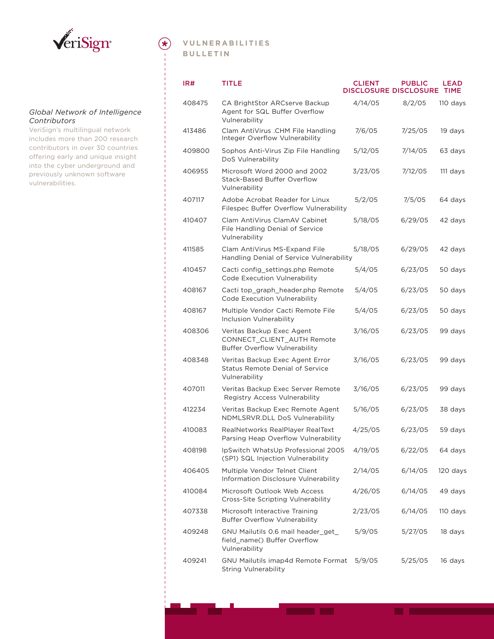

#### *Global Network of Intelligence Contributors*

VeriSign's multilingual network includes more than 200 research contributors in over 30 countries offering early and unique insight into the cyber underground and previously unknown software vulnerabilities.

# **VULNERABILITIES B ULLETIN**

 $(\star)$ 

| IR#    | TITLE                                                                                           | <b>CLIENT</b><br><b>DISCLOSURE DISCLOSURE</b> | <b>PUBLIC</b> | <b>LEAD</b><br><b>TIME</b> |
|--------|-------------------------------------------------------------------------------------------------|-----------------------------------------------|---------------|----------------------------|
| 408475 | CA BrightStor ARCserve Backup<br>Agent for SQL Buffer Overflow<br>Vulnerability                 | 4/14/05                                       | 8/2/05        | 110 days                   |
| 413486 | Clam AntiVirus .CHM File Handling<br>Integer Overflow Vulnerability                             | 7/6/05                                        | 7/25/05       | 19 days                    |
| 409800 | Sophos Anti-Virus Zip File Handling<br>DoS Vulnerability                                        | 5/12/05                                       | 7/14/05       | 63 days                    |
| 406955 | Microsoft Word 2000 and 2002<br><b>Stack-Based Buffer Overflow</b><br>Vulnerability             | 3/23/05                                       | 7/12/05       | 111 days                   |
| 407117 | Adobe Acrobat Reader for Linux<br>Filespec Buffer Overflow Vulnerability                        | 5/2/05                                        | 7/5/05        | 64 days                    |
| 410407 | Clam AntiVirus ClamAV Cabinet<br>File Handling Denial of Service<br>Vulnerability               | 5/18/05                                       | 6/29/05       | 42 days                    |
| 411585 | Clam AntiVirus MS-Expand File<br>Handling Denial of Service Vulnerability                       | 5/18/05                                       | 6/29/05       | 42 days                    |
| 410457 | Cacti config settings.php Remote<br>Code Execution Vulnerability                                | 5/4/05                                        | 6/23/05       | 50 days                    |
| 408167 | Cacti top_graph_header.php Remote<br>Code Execution Vulnerability                               | 5/4/05                                        | 6/23/05       | 50 days                    |
| 408167 | Multiple Vendor Cacti Remote File<br><b>Inclusion Vulnerability</b>                             | 5/4/05                                        | 6/23/05       | 50 days                    |
| 408306 | Veritas Backup Exec Agent<br>CONNECT_CLIENT_AUTH Remote<br><b>Buffer Overflow Vulnerability</b> | 3/16/05                                       | 6/23/05       | 99 days                    |
| 408348 | Veritas Backup Exec Agent Error<br><b>Status Remote Denial of Service</b><br>Vulnerability      | 3/16/05                                       | 6/23/05       | 99 days                    |
| 407011 | Veritas Backup Exec Server Remote<br>Registry Access Vulnerability                              | 3/16/05                                       | 6/23/05       | 99 days                    |
| 412234 | Veritas Backup Exec Remote Agent<br>NDMLSRVR.DLL DoS Vulnerability                              | 5/16/05                                       | 6/23/05       | 38 days                    |
| 410083 | RealNetworks RealPlayer RealText<br>Parsing Heap Overflow Vulnerability                         | 4/25/05                                       | 6/23/05       | 59 days                    |
| 408198 | IpSwitch WhatsUp Professional 2005<br>(SP1) SQL Injection Vulnerability                         | 4/19/05                                       | 6/22/05       | 64 days                    |
| 406405 | Multiple Vendor Telnet Client<br>Information Disclosure Vulnerability                           | 2/14/05                                       | 6/14/05       | 120 days                   |
| 410084 | Microsoft Outlook Web Access<br>Cross-Site Scripting Vulnerability                              | 4/26/05                                       | 6/14/05       | 49 days                    |
| 407338 | Microsoft Interactive Training<br><b>Buffer Overflow Vulnerability</b>                          | 2/23/05                                       | 6/14/05       | 110 days                   |
| 409248 | GNU Mailutils 0.6 mail header get<br>field_name() Buffer Overflow<br>Vulnerability              | 5/9/05                                        | 5/27/05       | 18 days                    |
| 409241 | GNU Mailutils imap4d Remote Format<br><b>String Vulnerability</b>                               | 5/9/05                                        | 5/25/05       | 16 days                    |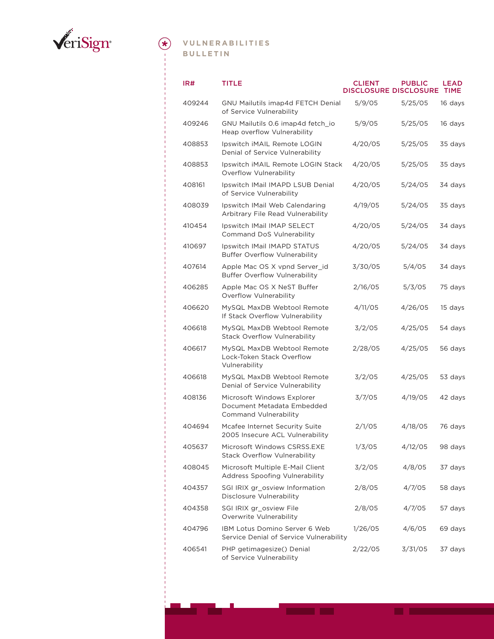

# **VULNERABILITIES B ULLETIN**

| IR#    | TITLE                                                                             | <b>CLIENT</b><br><b>DISCLOSURE DISCLOSURE TIME</b> | <b>PUBLIC</b> | <b>LEAD</b> |
|--------|-----------------------------------------------------------------------------------|----------------------------------------------------|---------------|-------------|
| 409244 | <b>GNU Mailutils imap4d FETCH Denial</b><br>of Service Vulnerability              | 5/9/05                                             | 5/25/05       | 16 days     |
| 409246 | GNU Mailutils 0.6 imap4d fetch io<br>Heap overflow Vulnerability                  | 5/9/05                                             | 5/25/05       | 16 days     |
| 408853 | Ipswitch iMAIL Remote LOGIN<br>Denial of Service Vulnerability                    | 4/20/05                                            | 5/25/05       | 35 days     |
| 408853 | Ipswitch iMAIL Remote LOGIN Stack<br>Overflow Vulnerability                       | 4/20/05                                            | 5/25/05       | 35 days     |
| 408161 | Ipswitch IMail IMAPD LSUB Denial<br>of Service Vulnerability                      | 4/20/05                                            | 5/24/05       | 34 days     |
| 408039 | Ipswitch IMail Web Calendaring<br>Arbitrary File Read Vulnerability               | 4/19/05                                            | 5/24/05       | 35 days     |
| 410454 | Ipswitch IMail IMAP SELECT<br>Command DoS Vulnerability                           | 4/20/05                                            | 5/24/05       | 34 days     |
| 410697 | Ipswitch IMail IMAPD STATUS<br><b>Buffer Overflow Vulnerability</b>               | 4/20/05                                            | 5/24/05       | 34 days     |
| 407614 | Apple Mac OS X vpnd Server id<br><b>Buffer Overflow Vulnerability</b>             | 3/30/05                                            | 5/4/05        | 34 days     |
| 406285 | Apple Mac OS X NeST Buffer<br>Overflow Vulnerability                              | 2/16/05                                            | 5/3/05        | 75 days     |
| 406620 | MySQL MaxDB Webtool Remote<br>If Stack Overflow Vulnerability                     | 4/11/05                                            | 4/26/05       | 15 days     |
| 406618 | MySQL MaxDB Webtool Remote<br>Stack Overflow Vulnerability                        | 3/2/05                                             | 4/25/05       | 54 days     |
| 406617 | MySQL MaxDB Webtool Remote<br>Lock-Token Stack Overflow<br>Vulnerability          | 2/28/05                                            | 4/25/05       | 56 days     |
| 406618 | MySQL MaxDB Webtool Remote<br>Denial of Service Vulnerability                     | 3/2/05                                             | 4/25/05       | 53 days     |
| 408136 | Microsoft Windows Explorer<br>Document Metadata Embedded<br>Command Vulnerability | 3/7/05                                             | 4/19/05       | 42 days     |
| 404694 | Mcafee Internet Security Suite<br>2005 Insecure ACL Vulnerability                 | 2/1/05                                             | 4/18/05       | 76 days     |
| 405637 | Microsoft Windows CSRSS.EXE<br><b>Stack Overflow Vulnerability</b>                | 1/3/05                                             | 4/12/05       | 98 days     |
| 408045 | Microsoft Multiple E-Mail Client<br>Address Spoofing Vulnerability                | 3/2/05                                             | 4/8/05        | 37 days     |
| 404357 | SGI IRIX gr osview Information<br>Disclosure Vulnerability                        | 2/8/05                                             | 4/7/05        | 58 days     |
| 404358 | SGI IRIX gr_osview File<br>Overwrite Vulnerability                                | 2/8/05                                             | 4/7/05        | 57 days     |
| 404796 | IBM Lotus Domino Server 6 Web<br>Service Denial of Service Vulnerability          | 1/26/05                                            | 4/6/05        | 69 days     |
| 406541 | PHP getimagesize() Denial<br>of Service Vulnerability                             | 2/22/05                                            | 3/31/05       | 37 days     |